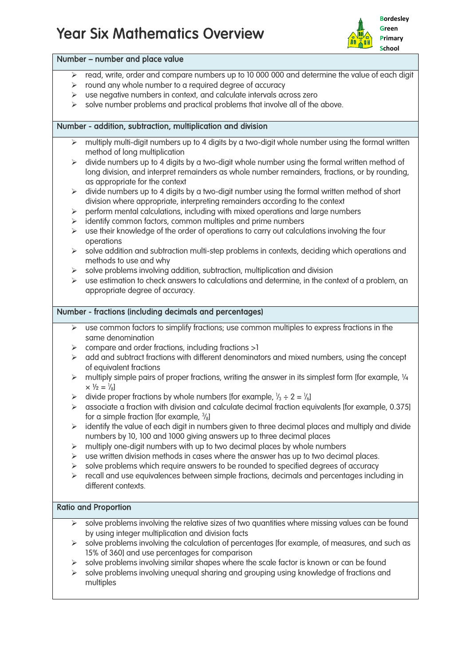# Year Six Mathematics Overview



## Number – number and place value

- $\triangleright$  read, write, order and compare numbers up to 10 000 000 and determine the value of each digit
- $\triangleright$  round any whole number to a required degree of accuracy
- $\triangleright$  use negative numbers in context, and calculate intervals across zero
- $\triangleright$  solve number problems and practical problems that involve all of the above.

## Number - addition, subtraction, multiplication and division

- $\triangleright$  multiply multi-digit numbers up to 4 digits by a two-digit whole number using the formal written method of long multiplication
- $\triangleright$  divide numbers up to 4 digits by a two-digit whole number using the formal written method of long division, and interpret remainders as whole number remainders, fractions, or by rounding, as appropriate for the context
- $\triangleright$  divide numbers up to 4 digits by a two-digit number using the formal written method of short division where appropriate, interpreting remainders according to the context
- $\triangleright$  perform mental calculations, including with mixed operations and large numbers
- identify common factors, common multiples and prime numbers
- $\triangleright$  use their knowledge of the order of operations to carry out calculations involving the four operations
- $\triangleright$  solve addition and subtraction multi-step problems in contexts, deciding which operations and methods to use and why
- $\triangleright$  solve problems involving addition, subtraction, multiplication and division
- $\triangleright$  use estimation to check answers to calculations and determine, in the context of a problem, an appropriate degree of accuracy.

#### Number - fractions (including decimals and percentages)

- $\triangleright$  use common factors to simplify fractions; use common multiples to express fractions in the same denomination
- $\triangleright$  compare and order fractions, including fractions  $>1$
- $\triangleright$  add and subtract fractions with different denominators and mixed numbers, using the concept of equivalent fractions
- $\triangleright$  multiply simple pairs of proper fractions, writing the answer in its simplest form [for example,  $\frac{1}{4}$  $\times \frac{1}{2} = \frac{1}{8}$
- $\triangleright$  divide proper fractions by whole numbers [for example,  $\frac{1}{3} \div 2 = \frac{1}{6}$ ]
- $\geq$  associate a fraction with division and calculate decimal fraction equivalents [for example, 0.375] for a simple fraction [for example,  $\frac{3}{8}$ ]
- $\triangleright$  identify the value of each digit in numbers given to three decimal places and multiply and divide numbers by 10, 100 and 1000 giving answers up to three decimal places
- $\triangleright$  multiply one-digit numbers with up to two decimal places by whole numbers
- $\triangleright$  use written division methods in cases where the answer has up to two decimal places.
- $\triangleright$  solve problems which require answers to be rounded to specified degrees of accuracy
- $\triangleright$  recall and use equivalences between simple fractions, decimals and percentages including in different contexts.

#### Ratio and Proportion

- $\triangleright$  solve problems involving the relative sizes of two quantities where missing values can be found by using integer multiplication and division facts
- $\triangleright$  solve problems involving the calculation of percentages [for example, of measures, and such as 15% of 360] and use percentages for comparison
- solve problems involving similar shapes where the scale factor is known or can be found
- $\triangleright$  solve problems involving unequal sharing and grouping using knowledge of fractions and multiples